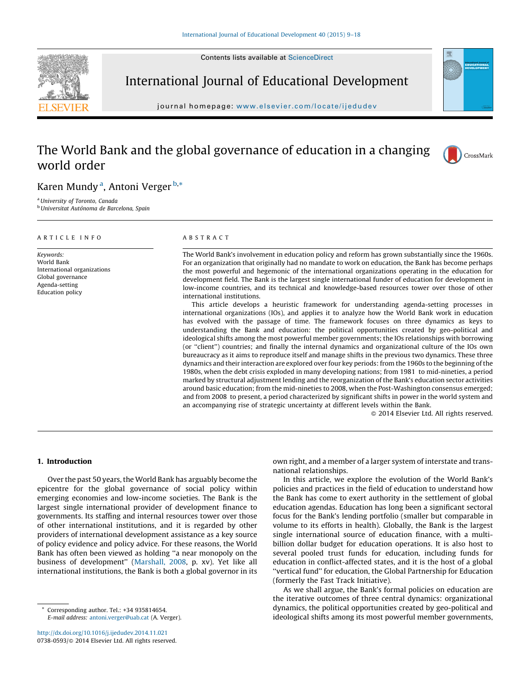Contents lists available at [ScienceDirect](http://www.sciencedirect.com/science/journal/07380593)



International Journal of Educational Development

journal homepage: www.elsevier.com/locate/ijedudev

# The World Bank and the global governance of education in a changing world order



Karen Mundy <sup>a</sup>, Antoni Verger <sup>b,\*</sup>

<sup>a</sup> University of Toronto, Canada

<sup>b</sup> Universitat Autônoma de Barcelona, Spain

#### A R T I C L E I N F O

Keywords: World Bank International organizations Global governance Agenda-setting Education policy

#### A B S T R A C T

The World Bank's involvement in education policy and reform has grown substantially since the 1960s. For an organization that originally had no mandate to work on education, the Bank has become perhaps the most powerful and hegemonic of the international organizations operating in the education for development field. The Bank is the largest single international funder of education for development in low-income countries, and its technical and knowledge-based resources tower over those of other international institutions.

This article develops a heuristic framework for understanding agenda-setting processes in international organizations (IOs), and applies it to analyze how the World Bank work in education has evolved with the passage of time. The framework focuses on three dynamics as keys to understanding the Bank and education: the political opportunities created by geo-political and ideological shifts among the most powerful member governments; the IOs relationships with borrowing (or "client") countries; and finally the internal dynamics and organizational culture of the IOs own bureaucracy as it aims to reproduce itself and manage shifts in the previous two dynamics. These three dynamics and their interaction are explored over four key periods: from the 1960s to the beginning ofthe 1980s, when the debt crisis exploded in many developing nations; from 1981 to mid-nineties, a period marked by structural adjustment lending and the reorganization of the Bank's education sector activities around basic education; from the mid-nineties to 2008, when the Post-Washington consensus emerged; and from 2008 to present, a period characterized by significant shifts in power in the world system and an accompanying rise of strategic uncertainty at different levels within the Bank.

- 2014 Elsevier Ltd. All rights reserved.

# 1. Introduction

Over the past 50 years, the World Bank has arguably become the epicentre for the global governance of social policy within emerging economies and low-income societies. The Bank is the largest single international provider of development finance to governments. Its staffing and internal resources tower over those of other international institutions, and it is regarded by other providers of international development assistance as a key source of policy evidence and policy advice. For these reasons, the World Bank has often been viewed as holding ''a near monopoly on the business of development'' [\(Marshall,](#page--1-0) 2008, p. xv). Yet like all international institutions, the Bank is both a global governor in its

Corresponding author. Tel.: +34 935814654. E-mail address: [antoni.verger@uab.cat](mailto:antoni.verger@uab.cat) (A. Verger).

<http://dx.doi.org/10.1016/j.ijedudev.2014.11.021> 0738-0593/© 2014 Elsevier Ltd. All rights reserved. own right, and a member of a larger system of interstate and transnational relationships.

In this article, we explore the evolution of the World Bank's policies and practices in the field of education to understand how the Bank has come to exert authority in the settlement of global education agendas. Education has long been a significant sectoral focus for the Bank's lending portfolio (smaller but comparable in volume to its efforts in health). Globally, the Bank is the largest single international source of education finance, with a multibillion dollar budget for education operations. It is also host to several pooled trust funds for education, including funds for education in conflict-affected states, and it is the host of a global ''vertical fund'' for education, the Global Partnership for Education (formerly the Fast Track Initiative).

As we shall argue, the Bank's formal policies on education are the iterative outcomes of three central dynamics: organizational dynamics, the political opportunities created by geo-political and ideological shifts among its most powerful member governments,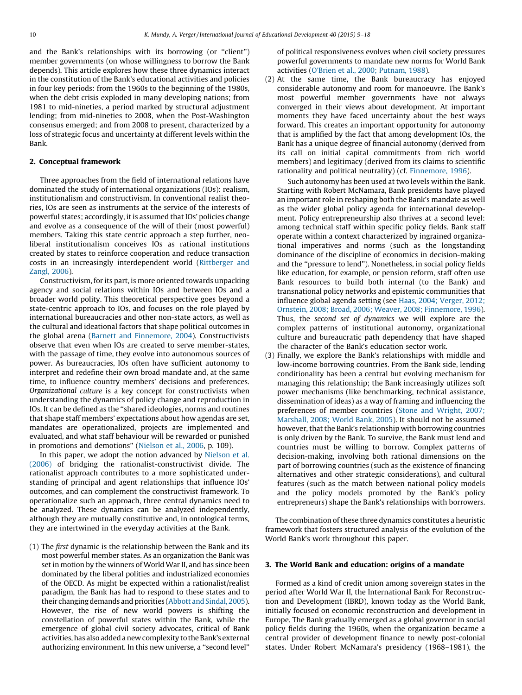and the Bank's relationships with its borrowing (or ''client'') member governments (on whose willingness to borrow the Bank depends). This article explores how these three dynamics interact in the constitution of the Bank's educational activities and policies in four key periods: from the 1960s to the beginning of the 1980s, when the debt crisis exploded in many developing nations; from 1981 to mid-nineties, a period marked by structural adjustment lending; from mid-nineties to 2008, when the Post-Washington consensus emerged; and from 2008 to present, characterized by a loss of strategic focus and uncertainty at different levels within the Bank.

# 2. Conceptual framework

Three approaches from the field of international relations have dominated the study of international organizations (IOs): realism, institutionalism and constructivism. In conventional realist theories, IOs are seen as instruments at the service of the interests of powerful states; accordingly, it is assumed that IOs' policies change and evolve as a consequence of the will of their (most powerful) members. Taking this state centric approach a step further, neoliberal institutionalism conceives IOs as rational institutions created by states to reinforce cooperation and reduce transaction costs in an increasingly interdependent world ([Rittberger](#page--1-0) and [Zangl,](#page--1-0) 2006).

Constructivism, for its part, is more oriented towards unpacking agency and social relations within IOs and between IOs and a broader world polity. This theoretical perspective goes beyond a state-centric approach to IOs, and focuses on the role played by international bureaucracies and other non-state actors, as well as the cultural and ideational factors that shape political outcomes in the global arena (Barnett and [Finnemore,](#page--1-0) 2004). Constructivists observe that even when IOs are created to serve member-states, with the passage of time, they evolve into autonomous sources of power. As bureaucracies, IOs often have sufficient autonomy to interpret and redefine their own broad mandate and, at the same time, to influence country members' decisions and preferences. Organizational culture is a key concept for constructivists when understanding the dynamics of policy change and reproduction in IOs. It can be defined as the ''shared ideologies, norms and routines that shape staff members' expectations about how agendas are set, mandates are operationalized, projects are implemented and evaluated, and what staff behaviour will be rewarded or punished in promotions and demotions'' [\(Nielson](#page--1-0) et al., 2006, p. 109).

In this paper, we adopt the notion advanced by [Nielson](#page--1-0) et al. [\(2006\)](#page--1-0) of bridging the rationalist-constructivist divide. The rationalist approach contributes to a more sophisticated understanding of principal and agent relationships that influence IOs' outcomes, and can complement the constructivist framework. To operationalize such an approach, three central dynamics need to be analyzed. These dynamics can be analyzed independently, although they are mutually constitutive and, in ontological terms, they are intertwined in the everyday activities at the Bank.

(1) The first dynamic is the relationship between the Bank and its most powerful member states. As an organization the Bank was set in motion by the winners of World War II, and has since been dominated by the liberal polities and industrialized economies of the OECD. As might be expected within a rationalist/realist paradigm, the Bank has had to respond to these states and to their changing demands and priorities [\(Abbott](#page--1-0) and Sindal, 2005). However, the rise of new world powers is shifting the constellation of powerful states within the Bank, while the emergence of global civil society advocates, critical of Bank activities, has also added a new complexity to the Bank's external authorizing environment. In this new universe, a ''second level'' of political responsiveness evolves when civil society pressures powerful governments to mandate new norms for World Bank activities (O'Brien et al., 2000; [Putnam,](#page--1-0) 1988).

(2) At the same time, the Bank bureaucracy has enjoyed considerable autonomy and room for manoeuvre. The Bank's most powerful member governments have not always converged in their views about development. At important moments they have faced uncertainty about the best ways forward. This creates an important opportunity for autonomy that is amplified by the fact that among development IOs, the Bank has a unique degree of financial autonomy (derived from its call on initial capital commitments from rich world members) and legitimacy (derived from its claims to scientific rationality and political neutrality) (cf. [Finnemore,](#page--1-0) 1996).

Such autonomy has been used at two levels within the Bank. Starting with Robert McNamara, Bank presidents have played an important role in reshaping both the Bank's mandate as well as the wider global policy agenda for international development. Policy entrepreneurship also thrives at a second level: among technical staff within specific policy fields. Bank staff operate within a context characterized by ingrained organizational imperatives and norms (such as the longstanding dominance of the discipline of economics in decision-making and the ''pressure to lend''). Nonetheless, in social policy fields like education, for example, or pension reform, staff often use Bank resources to build both internal (to the Bank) and transnational policy networks and epistemic communities that influence global agenda setting (see Haas, 2004; [Verger,](#page--1-0) 2012; Ornstein, 2008; Broad, 2006; Weaver, 2008; [Finnemore,](#page--1-0) 1996). Thus, the second set of dynamics we will explore are the complex patterns of institutional autonomy, organizational culture and bureaucratic path dependency that have shaped the character of the Bank's education sector work.

(3) Finally, we explore the Bank's relationships with middle and low-income borrowing countries. From the Bank side, lending conditionality has been a central but evolving mechanism for managing this relationship; the Bank increasingly utilizes soft power mechanisms (like benchmarking, technical assistance, dissemination of ideas) as a way of framing and influencing the preferences of member countries (Stone and [Wright,](#page--1-0) 2007; [Marshall,](#page--1-0) 2008; World Bank, 2005). It should not be assumed however, that the Bank's relationship with borrowing countries is only driven by the Bank. To survive, the Bank must lend and countries must be willing to borrow. Complex patterns of decision-making, involving both rational dimensions on the part of borrowing countries (such as the existence of financing alternatives and other strategic considerations), and cultural features (such as the match between national policy models and the policy models promoted by the Bank's policy entrepreneurs) shape the Bank's relationships with borrowers.

The combination of these three dynamics constitutes a heuristic framework that fosters structured analysis of the evolution of the World Bank's work throughout this paper.

### 3. The World Bank and education: origins of a mandate

Formed as a kind of credit union among sovereign states in the period after World War II, the International Bank For Reconstruction and Development (IBRD), known today as the World Bank, initially focused on economic reconstruction and development in Europe. The Bank gradually emerged as a global governor in social policy fields during the 1960s, when the organization became a central provider of development finance to newly post-colonial states. Under Robert McNamara's presidency (1968–1981), the